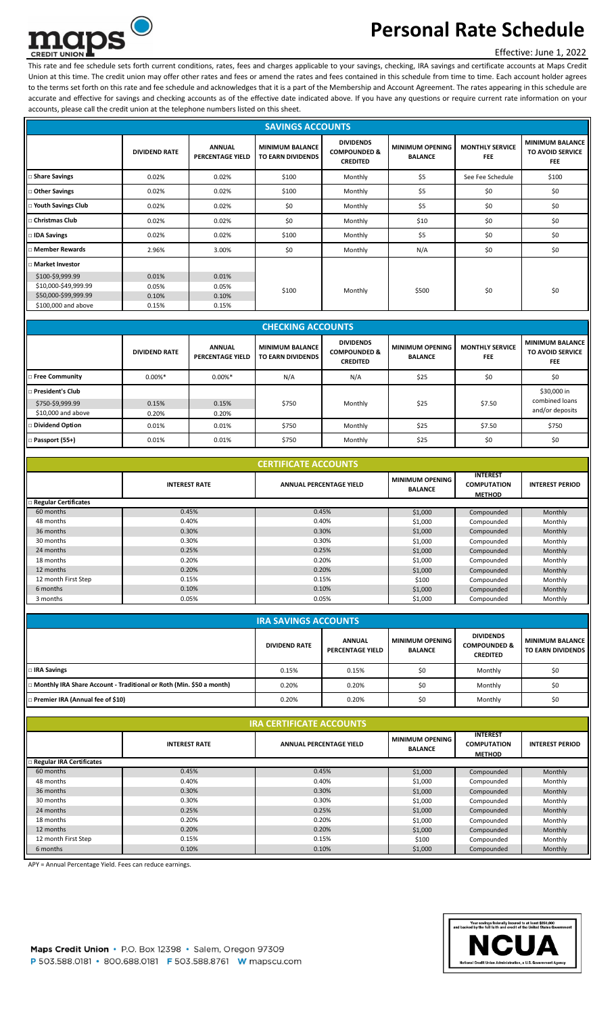

# **Personal Rate Schedule**

### Effective: June 1, 2022

This rate and fee schedule sets forth current conditions, rates, fees and charges applicable to your savings, checking, IRA savings and certificate accounts at Maps Credit Union at this time. The credit union may offer other rates and fees or amend the rates and fees contained in this schedule from time to time. Each account holder agrees to the terms set forth on this rate and fee schedule and acknowledges that it is a part of the Membership and Account Agreement. The rates appearing in this schedule are accurate and effective for savings and checking accounts as of the effective date indicated above. If you have any questions or require current rate information on your accounts, please call the credit union at the telephone numbers listed on this sheet.

| <b>SAVINGS ACCOUNTS</b>    |                      |                                          |                                             |                                                                |                                          |                                      |                                                                 |
|----------------------------|----------------------|------------------------------------------|---------------------------------------------|----------------------------------------------------------------|------------------------------------------|--------------------------------------|-----------------------------------------------------------------|
|                            | <b>DIVIDEND RATE</b> | <b>ANNUAL</b><br><b>PERCENTAGE YIELD</b> | <b>MINIMUM BALANCE</b><br>TO EARN DIVIDENDS | <b>DIVIDENDS</b><br><b>COMPOUNDED &amp;</b><br><b>CREDITED</b> | <b>MINIMUM OPENING</b><br><b>BALANCE</b> | <b>MONTHLY SERVICE</b><br><b>FEE</b> | <b>MINIMUM BALANCE</b><br><b>TO AVOID SERVICE</b><br><b>FEE</b> |
| <b>Share Savings</b>       | 0.02%                | 0.02%                                    | \$100                                       | Monthly                                                        | \$5                                      | See Fee Schedule                     | \$100                                                           |
| Other Savings              | 0.02%                | 0.02%                                    | \$100                                       | Monthly                                                        | \$5                                      | \$0                                  | \$0                                                             |
| □ Youth Savings Club       | 0.02%                | 0.02%                                    | \$0                                         | Monthly                                                        | \$5                                      | \$0                                  | \$0                                                             |
| □ Christmas Club           | 0.02%                | 0.02%                                    | \$0                                         | Monthly                                                        | \$10                                     | \$0                                  | \$0                                                             |
| IDA Savings                | 0.02%                | 0.02%                                    | \$100                                       | Monthly                                                        | \$5                                      | \$0                                  | \$0                                                             |
| $\lrcorner$ Member Rewards | 2.96%                | 3.00%                                    | \$0                                         | Monthly                                                        | N/A                                      | \$0                                  | \$0                                                             |
| □ Market Investor          |                      |                                          |                                             |                                                                |                                          |                                      |                                                                 |
| \$100-\$9,999.99           | 0.01%                | 0.01%                                    |                                             |                                                                |                                          |                                      |                                                                 |
| \$10,000-\$49,999.99       | 0.05%                | 0.05%                                    | \$100                                       | Monthly                                                        | \$500                                    | \$0                                  | \$0                                                             |
| \$50,000-\$99,999.99       | 0.10%                | 0.10%                                    |                                             |                                                                |                                          |                                      |                                                                 |
| \$100,000 and above        | 0.15%                | 0.15%                                    |                                             |                                                                |                                          |                                      |                                                                 |

| <b>CHECKING ACCOUNTS</b>                                   |                      |                                          |                                             |                                                                |                                          |                                      |                                                                 |
|------------------------------------------------------------|----------------------|------------------------------------------|---------------------------------------------|----------------------------------------------------------------|------------------------------------------|--------------------------------------|-----------------------------------------------------------------|
|                                                            | <b>DIVIDEND RATE</b> | <b>ANNUAL</b><br><b>PERCENTAGE YIELD</b> | <b>MINIMUM BALANCE</b><br>TO EARN DIVIDENDS | <b>DIVIDENDS</b><br><b>COMPOUNDED &amp;</b><br><b>CREDITED</b> | <b>MINIMUM OPENING</b><br><b>BALANCE</b> | <b>MONTHLY SERVICE</b><br><b>FEE</b> | <b>MINIMUM BALANCE</b><br><b>TO AVOID SERVICE</b><br><b>FEE</b> |
| <b>Free Community</b>                                      | $0.00\%$ *           | $0.00\%*$                                | N/A                                         | N/A                                                            | \$25                                     | \$0                                  | \$0                                                             |
| President's Club<br>\$750-\$9,999.99<br>\$10,000 and above | 0.15%<br>0.20%       | 0.15%<br>0.20%                           | \$750                                       | Monthly                                                        | \$25                                     | \$7.50                               | \$30,000 in<br>combined loans<br>and/or deposits                |
| Dividend Option                                            | 0.01%                | 0.01%                                    | \$750                                       | Monthly                                                        | \$25                                     | \$7.50                               | \$750                                                           |
| □ Passport (55+)                                           | 0.01%                | 0.01%                                    | \$750                                       | Monthly                                                        | \$25                                     | \$0                                  | \$0                                                             |

| <b>CERTIFICATE ACCOUNTS</b> |                      |                                |                                          |                                                        |                        |  |  |  |  |
|-----------------------------|----------------------|--------------------------------|------------------------------------------|--------------------------------------------------------|------------------------|--|--|--|--|
|                             | <b>INTEREST RATE</b> | <b>ANNUAL PERCENTAGE YIELD</b> | <b>MINIMUM OPENING</b><br><b>BALANCE</b> | <b>INTEREST</b><br><b>COMPUTATION</b><br><b>METHOD</b> | <b>INTEREST PERIOD</b> |  |  |  |  |
| Regular Certificates        |                      |                                |                                          |                                                        |                        |  |  |  |  |
| 60 months                   | 0.45%                | 0.45%                          | \$1,000                                  | Compounded                                             | Monthly                |  |  |  |  |
| 48 months                   | 0.40%                | 0.40%                          | \$1,000                                  | Compounded                                             | Monthly                |  |  |  |  |
| 36 months                   | 0.30%                | 0.30%                          | \$1,000                                  | Compounded                                             | Monthly                |  |  |  |  |
| 30 months                   | 0.30%                | 0.30%                          | \$1,000                                  | Compounded                                             | Monthly                |  |  |  |  |
| 24 months                   | 0.25%                | 0.25%                          | \$1,000                                  | Compounded                                             | Monthly                |  |  |  |  |
| 18 months                   | 0.20%                | 0.20%                          | \$1,000                                  | Compounded                                             | Monthly                |  |  |  |  |
| 12 months                   | 0.20%                | 0.20%                          | \$1,000                                  | Compounded                                             | Monthly                |  |  |  |  |
| 12 month First Step         | 0.15%                | 0.15%                          | \$100                                    | Compounded                                             | Monthly                |  |  |  |  |
| 6 months                    | 0.10%                | 0.10%                          | \$1,000                                  | Compounded                                             | Monthly                |  |  |  |  |
| 3 months                    | 0.05%                | 0.05%                          | \$1,000                                  | Compounded                                             | Monthly                |  |  |  |  |

| <b>IRA SAVINGS ACCOUNTS</b>                                                |                      |                                          |                                       |                                                                |                                                    |  |
|----------------------------------------------------------------------------|----------------------|------------------------------------------|---------------------------------------|----------------------------------------------------------------|----------------------------------------------------|--|
|                                                                            | <b>DIVIDEND RATE</b> | <b>ANNUAL</b><br><b>PERCENTAGE YIELD</b> | I MINIMUM OPENING I<br><b>BALANCE</b> | <b>DIVIDENDS</b><br><b>COMPOUNDED &amp;</b><br><b>CREDITED</b> | <b>MINIMUM BALANCE</b><br><b>TO EARN DIVIDENDS</b> |  |
| IRA Savings                                                                | 0.15%                | 0.15%                                    | \$0                                   | Monthly                                                        | \$0                                                |  |
| $\Box$ Monthly IRA Share Account - Traditional or Roth (Min. \$50 a month) | 0.20%                | 0.20%                                    | \$0                                   | Monthly                                                        | \$0                                                |  |
| Premier IRA (Annual fee of \$10)                                           | 0.20%                | 0.20%                                    | \$0                                   | Monthly                                                        | \$0                                                |  |

| <b>IRA CERTIFICATE ACCOUNTS</b> |                      |                                |                                          |                                                        |                        |  |  |  |
|---------------------------------|----------------------|--------------------------------|------------------------------------------|--------------------------------------------------------|------------------------|--|--|--|
|                                 | <b>INTEREST RATE</b> | <b>ANNUAL PERCENTAGE YIELD</b> | <b>MINIMUM OPENING</b><br><b>BALANCE</b> | <b>INTEREST</b><br><b>COMPUTATION</b><br><b>METHOD</b> | <b>INTEREST PERIOD</b> |  |  |  |
| <b>Regular IRA Certificates</b> |                      |                                |                                          |                                                        |                        |  |  |  |
| 60 months                       | 0.45%                | 0.45%                          | \$1,000                                  | Compounded                                             | Monthly                |  |  |  |
| 48 months                       | 0.40%                | 0.40%                          | \$1,000                                  | Compounded                                             | Monthly                |  |  |  |
| 36 months                       | 0.30%                | 0.30%                          | \$1,000                                  | Compounded                                             | Monthly                |  |  |  |
| 30 months                       | 0.30%                | 0.30%                          | \$1,000                                  | Compounded                                             | Monthly                |  |  |  |
| 24 months                       | 0.25%                | 0.25%                          | \$1,000                                  | Compounded                                             | Monthly                |  |  |  |
| 18 months                       | 0.20%                | 0.20%                          | \$1,000                                  | Compounded                                             | Monthly                |  |  |  |
| 12 months                       | 0.20%                | 0.20%                          | \$1,000                                  | Compounded                                             | Monthly                |  |  |  |
| 12 month First Step             | 0.15%                | 0.15%                          | \$100                                    | Compounded                                             | Monthly                |  |  |  |
| 6 months                        | 0.10%                | 0.10%                          | \$1,000                                  | Compounded                                             | Monthly                |  |  |  |

APY = Annual Percentage Yield. Fees can reduce earnings.